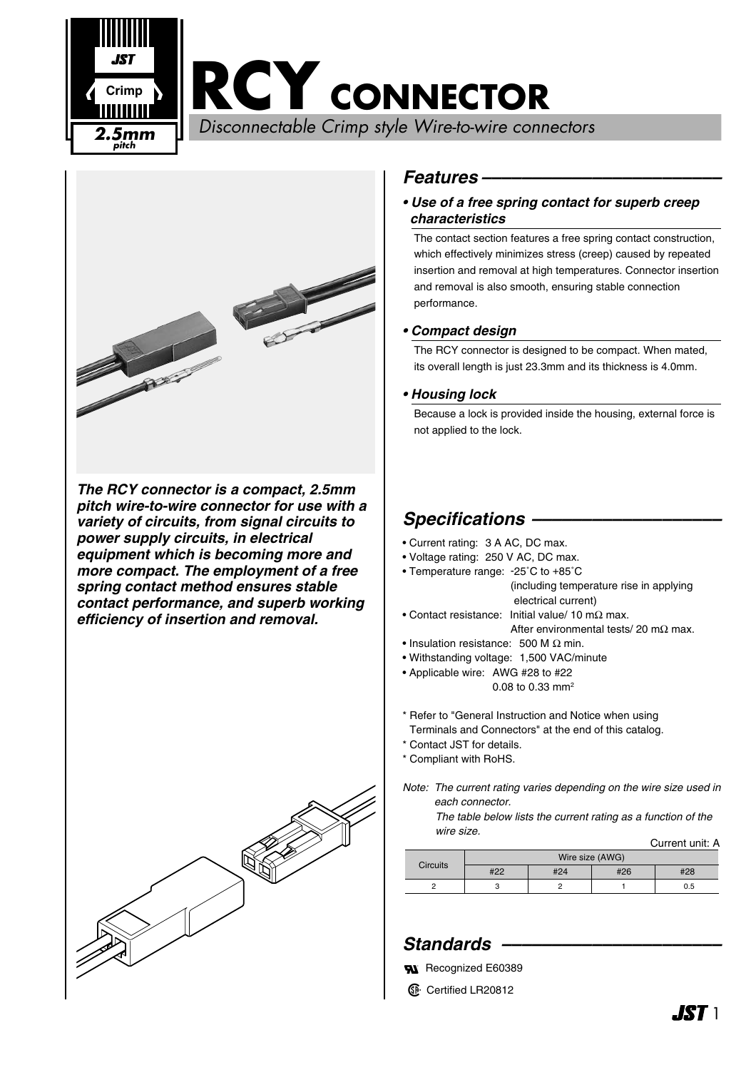**RCY CONNECTOR**

Disconnectable Crimp style Wire-to-wire connectors **2.5mm**



**pitch**

**Crimp**

*The RCY connector is a compact, 2.5mm pitch wire-to-wire connector for use with a variety of circuits, from signal circuits to power supply circuits, in electrical equipment which is becoming more and more compact. The employment of a free spring contact method ensures stable contact performance, and superb working efficiency of insertion and removal.*



## *Features ––––––––––––––––––––––––*

### *• Use of a free spring contact for superb creep characteristics*

The contact section features a free spring contact construction, which effectively minimizes stress (creep) caused by repeated insertion and removal at high temperatures. Connector insertion and removal is also smooth, ensuring stable connection performance.

### *• Compact design*

The RCY connector is designed to be compact. When mated, its overall length is just 23.3mm and its thickness is 4.0mm.

#### *• Housing lock*

Because a lock is provided inside the housing, external force is not applied to the lock.

# *Specifications –––––––––––––––––––*

- Current rating: 3 A AC, DC max.
- Voltage rating: 250 V AC, DC max.
- Temperature range: -25˚C to +85˚C
	- (including temperature rise in applying electrical current)
- Contact resistance: Initial value/ 10 mΩ max. After environmental tests/ 20 mΩ max.
- Insulation resistance: 500 M Ω min.
- Withstanding voltage: 1,500 VAC/minute
- Applicable wire: AWG #28 to #22 0.08 to 0.33 mm2
- \* Refer to "General Instruction and Notice when using Terminals and Connectors" at the end of this catalog.
- \* Contact JST for details.
- \* Compliant with RoHS.

*Note: The current rating varies depending on the wire size used in each connector.*

> *The table below lists the current rating as a function of the wire size.*

|                 |                 |     |     | Current unit: A |
|-----------------|-----------------|-----|-----|-----------------|
| <b>Circuits</b> | Wire size (AWG) |     |     |                 |
|                 | #22             | #24 | #26 | #28             |
| ◠               |                 |     |     | 0.5             |
|                 |                 |     |     |                 |

# *Standards ––––––––––––––––––––––*

- **RI** Recognized E60389
- **1** Certified LR20812